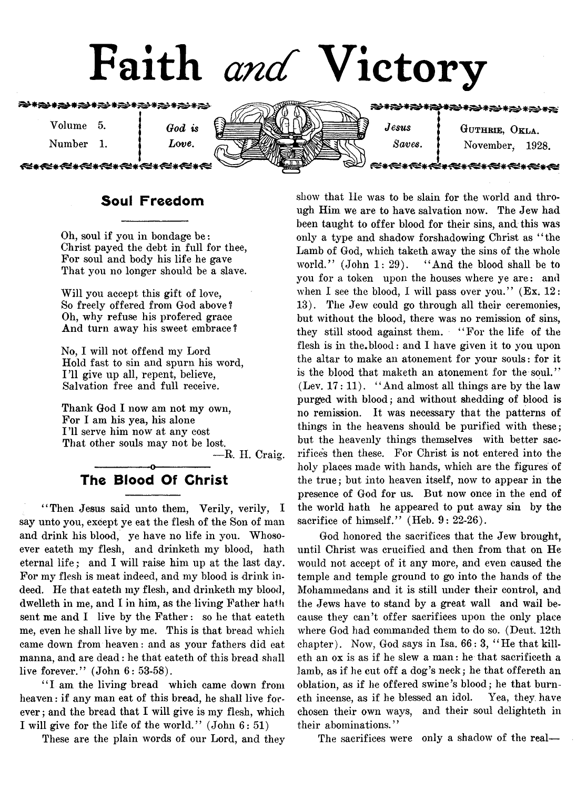# Faith *and* Victory

#### 72\*冷\*冷\*\*冷\*\*冷\*\*冷\*冷\*冷\*冷\*

Volume 5.

Number 1.

*God is Love*.

<del>≪∗≪∗≪∗≪∗≪∗≪∗≪</del>



*Jesus* | GUTHRIE, OKLA. *Saves*. | November, 1928.

æste <del>≪∗≪∗≪∗≪∗≪∗≪</del>

# Soul Freedom

Oh, soul if you in bondage be: Christ payed the debt in full for thee, For soul and body his life he gave That you no longer should be a slave.

Will you accept this gift of love, So freely offered from God above ? Oh, why refuse his profered grace And turn away his sweet embrace?

No, I will not offend my Lord Hold fast to sin and spurn his word, 111 give up all, repent, believe, Salvation free and full receive.

Thank God I now am not my own, For I am his yea, his alone 111 serve him now at any cost That other souls may not be lost.

— R. II. Craig.

# The Blood Of Christ

"Then Jesus said unto them, Verily, verily, I say unto you, except ye eat the flesh of the Son of man and drink his blood, ye have no life in you. Whosoever eateth my flesh, and drinketh my blood, hath eternal life ; and I will raise him up at the last day. For my flesh is meat indeed, and my blood is drink indeed. He that eateth my flesh, and drinketh my blood, dwelleth in me, and I in him, as the living Father hath sent me and I live by the Father: so he that eateth me, even he shall live by me. This is that bread which came down from heaven: and as your fathers did eat manna, and are dead: he that eateth of this bread shall live forever." (John 6: 53-58).

"I am the living bread which came down from heaven: if any man eat of this bread, he shall live forever ; and the bread that I will give is my flesh, which I will give for the life of the world." (John 6: 51)

These are the plain words of our Lord, and they

show that He was to be slain for the world and through Him we are to have salvation now. The Jew had been taught to offer blood for their sins, and, this was only a type and shadow forshadowing Christ as " the Lamb of God, which taketh away the sins of the whole world." (John 1: 29). "And the blood shall be to you for a token upon the houses where ye are: and when I see the blood, I will pass over you."  $(Ex. 12:$ 13). The Jew could go through all their ceremonies, but without the blood, there was no remission of sins, they still stood against them. ' ' For the life of the flesh is in the, blood: and I have given it to you upon the altar to make an atonement for your souls: for it is the blood that maketh an atonement for the soul."  $(Lev. 17: 11)$ . "And almost all things are by the law purged with blood; and without shedding of blood is no remission. It was necessary that the patterns of things in the heavens should be purified with these; but the heavenly things themselves with better sacrifices then these. For Christ is not entered into the holy places made with hands, which are the figures of the true; but into heaven itself, now to appear in the presence of God for us. But now once in the end of the world hath he appeared to put away sin by the sacrifice of himself." (Heb. 9: 22-26).

God honored the sacrifices that the Jew brought, until Christ was crucified and then from that on He would not accept of it any more, and even caused the temple and temple ground to go into the hands of the Mohammedans and it is still under their control, and the Jews have to stand by a great wall and wail because they can't offer sacrifices upon the only place where God had commanded them to do so. (Dent. 12th chapter). Now, God says in Isa. 66: 3, " He that killeth an ox is as if he slew a man: he that sacrificeth a lamb, as if he cut off a dog's neck; he that offereth an oblation, as if he offered swine's blood; he that burneth incense, as if he blessed an idol. Yea, they have chosen their own ways, and their soul delighteth in their abominations.''

The sacrifices were only a shadow of the real—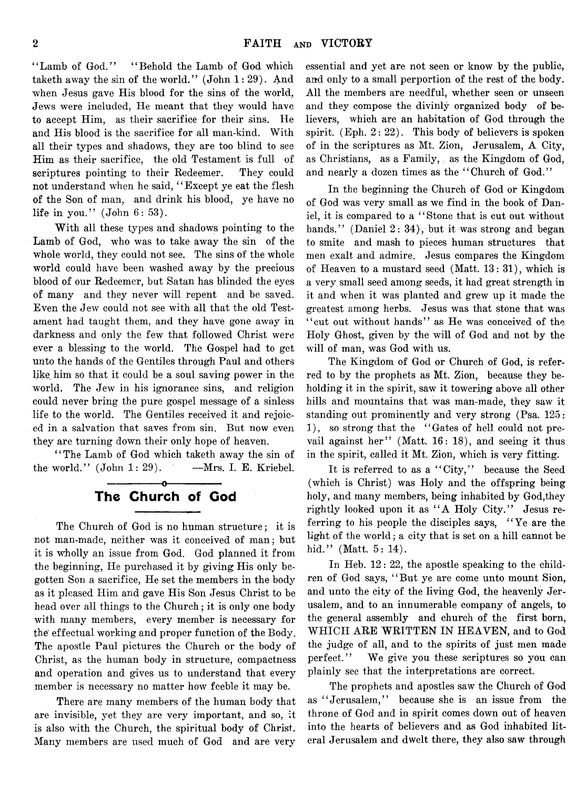"Lamb of God." "Behold the Lamb of God which taketh away the sin of the world." (John 1: 29). And when Jesus gave His blood for the sins of the world, Jews were included, He meant that they would have to accept Him, as their sacrifice for their sins. He and His blood is the sacrifice for all man-kind. With all their types and shadows, they are too blind to see Him as their sacrifice, the old Testament is full of scriptures pointing to their Redeemer. They could not understand when he said, "Except ye eat the flesh of the Son of man, and drink his blood, ye have no life in you." (John 6: 53).

With all these types and shadows pointing to the Lamb of God, who was to take away the sin of the whole world, they could not see. The sins of the whole world could have been washed away by the precious blood of our Redeemer, but Satan has blinded the eyes of many and they never will repent and be saved. Even the Jew could not see with all that the old Testament had taught them, and they have gone away in darkness and only the few that followed Christ were ever a blessing to the world. The Gospel had to get unto the hands of the Gentiles through Paul and others like him so that it could be a soul saving power in the world. The Jew in his ignorance sins, and religion could never bring the pure gospel message of a sinless life to the world. The Gentiles received it and rejoiced in a salvation that saves from sin. But now even they are turning down their only hope of heaven.

*1* ' The Lamb of God which taketh away the sin of the world."  $(John 1: 29)$ .  $-Mrs$ . I. E. Kriebel.

-----------------o

# The Church of Cod

The Church of God is no human structure; it is not man-made, neither was it conceived of man; but it is wholly an issue from God. God planned it from the beginning, He purchased it by giving His only begotten Son a sacrifice, He set the members in the body as it pleased Him and gave His Son Jesus Christ to be head over all things to the Church; it is only one body with many members, every member is necessary for the' effectual working and proper function of the Body. The apostle Paul pictures the Church or the body of Christ, as the human body in structure, compactness and operation and gives us to understand that every member is necessary no matter how feeble it may be.

There are many members of the human body that are invisible, yet they are very important, and so, it is also with the Church, the spiritual body of Christ. Many members are used much of God and are very

essential and yet are not seen or know by the public, and only to a small perportion of the rest of the body. All the members are needful, whether seen or unseen and they compose the divinly organized body of believers, which are an habitation of God through the spirit. (Eph. 2: 22). This body of believers is spoken of in the scriptures as Mt. Zion, Jerusalem, A City, as Christians, as a Family, as the Kingdom of God, and nearly a dozen times as the "Church of God."

In the beginning the Church of God or Kingdom of God was very small as we find in the book of Daniel, it is compared to a " Stone that is cut out without hands." (Daniel 2: 34), but it was strong and began to smite and mash to pieces human structures that men exalt and admire. Jesus compares the Kingdom of Heaven to a mustard seed (Matt. 13: 31), which is a very small seed among seeds, it had great strength in it and when it was planted and grew up it made the greatest among herbs. Jesus was that stone that was "cut out without hands" as He was conceived of the Holy Ghost, given by the will of God and not by the will of man, was God with us.

The Kingdom of God or Church of God, is referred to by the prophets as Mt. Zion, because they beholding it in the spirit, saw it towering above all other hills and mountains that was man-made, they saw it standing out prominently and very strong (Psa. 125: 1), so strong that the "Gates of hell could not prevail against her" (Matt. 16: 18), and seeing it thus in the spirit, called it Mt. Zion, which is very fitting.

It is referred to as a "City," because the Seed (which is Christ) was Holy and the offspring being holy, and many members, being inhabited by God,they rightly looked upon it as "A Holy City." Jesus referring to his people the disciples says, "Ye are the light of the world; a city that is set on a hill cannot be hid." (Matt. 5: 14).

In Heb. 12: 22, the apostle speaking to the children of God says, "But ye are come unto mount Sion, and unto the city of the living God, the heavenly Jerusalem, and to an innumerable company of angels, to the general assembly and church of the first born, W HICH ARE WRITTEN IN HEAVEN, and to God the judge of all, and to the spirits of just men made perfect." We give you these scriptures so you can plainly see that the interpretations are correct.

The prophets and apostles saw the Church of God as "Jerusalem," because she is an issue from the throne of God and in spirit comes down out of heaven into the hearts of believers and as God inhabited literal Jerusalem and dwelt there, they also saw through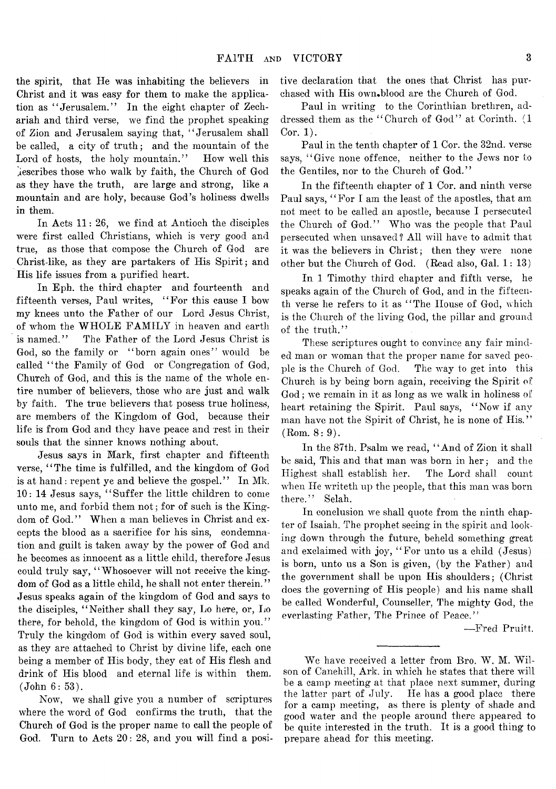the spirit, that He was inhabiting the believers in Christ and it was easy for them to make the application as " Jerusalem." In the eight chapter of Zechariah and third verse, we find the prophet speaking of Zion and Jerusalem saying that, " Jerusalem shall be called, a city of truth; and the mountain of the Lord of hosts, the holy mountain." How well this ^escribes those who walk by faith, the Church of God as they have the truth, are large and strong, like a mountain and are holy, because God's holiness dwells in them.

In Acts 11: 26, we find at Antioch the disciples were first called Christians, which is very good and true, as those that compose the Church of God are Christ-like, as they are partakers of His Spirit; and His life issues from a purified heart.

In Eph. the third chapter and fourteenth and fifteenth verses, Paul writes, " For this cause I bow my knees unto the Father of our Lord Jesus Christ, of whom the WHOLE FAMILY in heaven and earth is named." The Father of the Lord Jesus Christ is God, so the family or "born again ones" would be called " the Family of God or Congregation of God, Church of God, and this is the name of the whole entire number of believers, those who are just and walk by faith. The true believers that posess true holiness, are members of the Kingdom of God, because their life is from God and they have peace and rest in their souls that the sinner knows nothing about.

Jesus says in Mark, first chapter and fifteenth verse, " The time is fulfilled, and the kingdom of God is at hand: repent ye and believe the gospel." In Mk. 10: 14 Jesus says, " Suffer the little children to come unto me, and forbid them not; for of such is the Kingdom of God." When a man believes in Christ and excepts the blood as a sacrifice for his sins, condemnation and guilt is taken away by the power of God and he becomes as innocent as a little child, therefore Jesus could truly say, "Whosoever will not receive the kingdom of God as a little child, he shall not enter therein. *' 9* Jesus speaks again of the kingdom of God and says to the disciples, " Neither shall they say, Lo here, or, Lo there, for behold, the kingdom of God is within you. ' ' Truly the kingdom of God is within every saved soul, as they are attached to Christ by divine life, each one being a member of His body, they eat of His flesh and drink of His blood and eternal life is within them. (John 6: 53).

Now, we shall give you a number of scriptures where the word of God confirms the truth, that the Church of God is the proper name to call the people of God. Turn to Acts 20: 28, and you will find a positive declaration that the ones that Christ has purchased with His own.blood are the Church of God.

Paul in writing to the Corinthian brethren, addressed them as the " Church of God" at Corinth. (1 Cor. 1).

Paul in the tenth chapter of 1 Cor. the 32nd. verse says, "Give none offence, neither to the Jews nor to the Gentiles, nor to the Church of God. *' 9*

In the fifteenth chapter of 1 Cor. and ninth verse Paul says, "For I am the least of the apostles, that am not meet to be called an apostle, because I persecuted the Church of God." Who was the people that Paul persecuted when unsaved ? All will have to admit that it was the believers in Christ; then they were none other but the Church of God. (Read also, Gal. 1: 13)

In 1 Timothy third chapter and fifth verse, he speaks again of the Church of God, and in the fifteenth verse he refers to it as " The House of God, which is the Church of the living God, the pillar and ground of the truth."

These scriptures ought to convince any fair minded man or woman that the proper name for saved people is the Church of God. The way to get into this Church is by being born again, receiving the Spirit of God; we remain in it as long as we walk in holiness of heart retaining the Spirit. Paul says, "Now if any man have not the Spirit of Christ, he is none of His."  $(Rom. 8: 9).$ 

In the 87th. Psalm we read, " And of Zion it shall be said, This and that man was born in her; and the Highest shall establish her. The Lord shall count when He writeth up the people, that this man was born there." Selah.

In conclusion we shall quote from the ninth chapter of Isaiah. The prophet seeing in the spirit and looking down through the future, beheld something great and exclaimed with joy, " For unto us a child (Jesus) is born, unto us a Son is given, (by the Father) and the government shall be upon His shoulders; (Christ does the governing of His people) and his name shall be called Wonderful, Counseller, The mighty God, the everlasting Father, The Prince of Peace."

— Fred Pruitt.

We have received a letter from Bro. W. M. Wilson of Canehill, Ark. in which he states that there will be a camp meeting at that place next summer, during the latter part of July. He has a good place there for a camp meeting, as there is plenty of shade and good water and the people around there appeared to be quite interested in the truth. It is a good thing to prepare ahead for this meeting.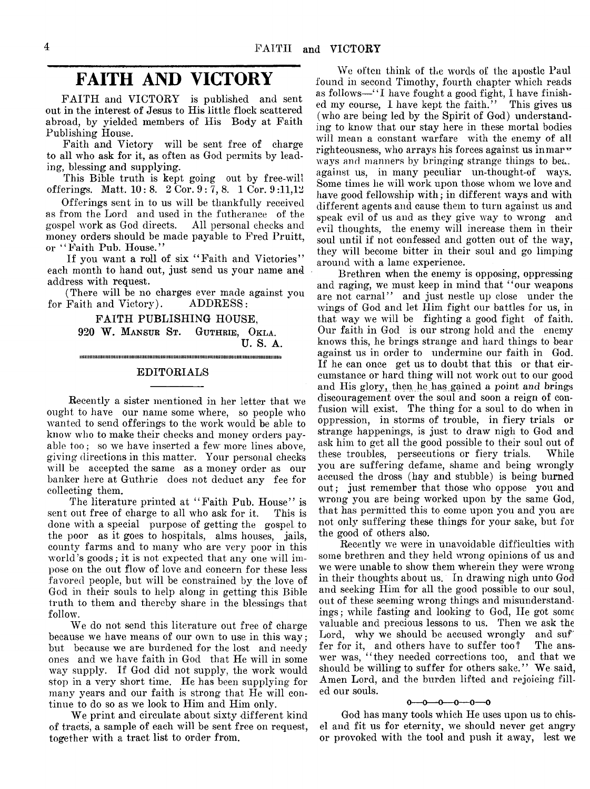# **FAITH AND VICTORY**

FAITH and VICTORY is published and sent out in the interest of Jesus to His little flock scattered abroad, by yielded members of His Body at Faith Publishing House.

Faith and Victory will be sent free of charge to all who ask for it, as often as God permits by leading, blessing and supplying.

This Bible truth is kept going out by free-will offerings. Matt. 10: 8. 2 Cor. 9: 7, 8. 1 Cor. 9 :11,12

Offerings sent in to us will be thankfully received as from the Lord and used in the futheranee of the gospel work as God directs. All personal checks and money orders should be made payable to Fred Pruitt, or "Faith Pub. House."

If you want a roll of six "Faith and Victories" each month to hand out, just send us your name and address with request.

(There will be no charges ever made against you for Faith and Victory). ADDRESS:

> FAITH PUBLISHING HOUSE, 920 W. Mansur St. Guthrie, Okla. U. S. A. i i i i i i i i i i i i i i i i i i i M i i i i i i i i i i i i i i i i i i i i i i i i i i i i i i i i i i i i i i i i i m i i i i i i i i i i i i i i i i i i i i i i i i i i i m i i i i i i m i i m i i i i i m i i i i i i i i

#### EDITORIALS

Recently a sister mentioned in her letter that we ought to have our name some where, so people who wanted to send offerings to the work would be able to know who to make their cheeks and money orders payable too; so we have inserted a few more lines above, giving directions in this matter. Your personal checks will be accepted the same as a money order as our banker here at Guthrie does not deduct any fee for collecting them.

The literature printed at "Faith Pub. House" is sent out free of charge to all who ask for it. This is done with a special purpose of getting the gospel to the poor as it goes to hospitals, alms houses, jails, county farms and to many who are very poor in this world's goods; it is not expected that any one will impose on the out flow of love and concern for these less favored people, but will be constrained by the love of God in their souls to help along in getting this Bible truth to them and thereby share in the blessings that follow.

We do not send this literature out free of charge because we have means of our own to use in this way; but because we are burdened for the lost and needy ones and we have faith in God that He will in some way supply. If God did not supply, the work would stop in a very short time. He has been supplying for many years and our faith is strong that He will continue to do so as we look to Him and Him only.

We print and circulate about sixty different kind of tracts, a sample of each will be sent free on request, together with a tract list to order from.

We often think of the words of the apostle Paul found in second Timothy, fourth chapter which reads as follows—"I have fought a good fight, I have finished my course, I have kept the faith." This gives us (who are being led by the Spirit of God) understanding to know that our stay here in these mortal bodies will mean a constant warfare with the enemy of all righteousness, who arrays his forces against us in mar $\mathbf{v}$ ways and manners by bringing strange things to bea. against us, in many peculiar un-thought-of ways. Some times he will work upon those whom we love and have good fellowship with; in different ways and with different agents and cause them to turn against us and speak evil of us and as they give way to wrong and evil thoughts, the enemy will increase them in their soul until if not confessed and gotten out of the way, they will become bitter in their soul and go limping around with a lame experience.

Brethren when the enemy is opposing, oppressing and raging, we must keep in mind that "our weapons are not carnal" and just nestle up close under the wings of God and let Him fight our battles for us, in that way we will be fighting a good fight of faith. Our faith in God is our strong hold and the enemy knows this, he brings strange and hard things to bear against us in order to undermine our faith in God. If he can once get us to doubt that this or that circumstance or hard thing will not work out to our good and His glory, then he has gained a point and brings discouragement over the soul and soon a reign of confusion will exist. The thing for a soul to do when in oppression, in storms of trouble, in fiery trials or strange happenings, is just to draw nigh to God and ask him to get all the good possible to their soul out of these troubles, persecutions or fiery trials. While you are suffering defame, shame and being wrongly accused the dross (hay and stubble) is being burned out; just remember that those who oppose you and wrong you are being worked upon by the same God, that has permitted this to come upon you and you are not only suffering these things for your sake, but for the good of others also.

Recently we were in unavoidable difficulties with some brethren and they held wrong opinions of us and we were unable to show them wherein they were wrong in their thoughts about us. In drawing nigh unto God and seeking Him for all the good possible to our soul, out of these seeming wrong things and misunderstandings; while fasting and looking to God, He got some valuable and precious lessons to us. Then we ask the Lord, why we should be accused wrongly and suf' fer for it, and others have to suffer too? The answer was, "they needed corrections too, and that we should be willing to suffer for others sake." We said, Amen Lord, and the burden lifted and rejoicing filled our souls.

#### $0 - 0 - 0 - 0 - 0$

God has many tools which He uses upon us to chisel and fit us for eternity, we should never get angry or provoked with the tool and push it away, lest we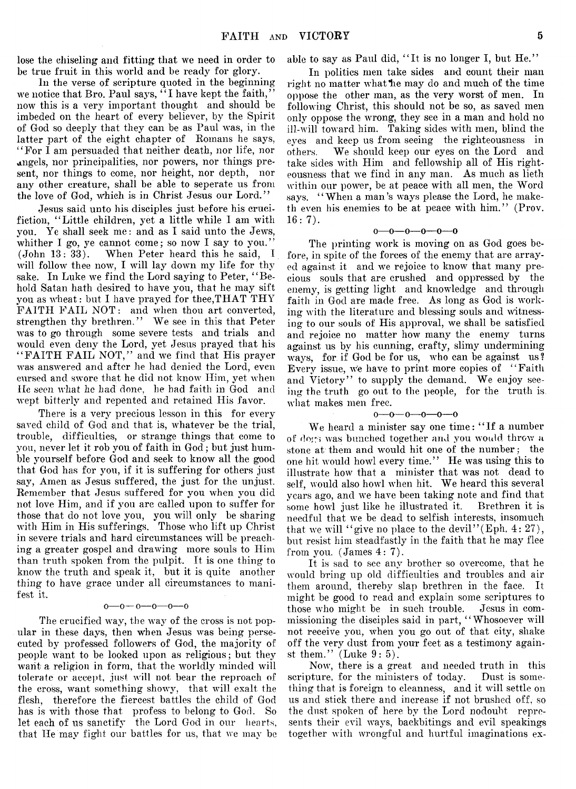lose the chiseling and fitting that we need in order to be true fruit in this world and be ready for glory.

In the verse of scripture quoted in the beginning we notice that Bro. Paul says,  $\cdot \cdot$  I have kept the faith,' now this is a very important thought and should be imbeded on the heart of every believer, by the Spirit of God so deeply that they can be as Paul was, in the latter part of the eight chapter of Romans he says, " For I am persuaded that neither death, nor life, nor angels, nor principalities, nor powers, nor things present, nor things to come, nor height, nor depth, nor any other creature, shall be able to seperate us from the love of God, which is in Christ Jesus our Lord."

Jesus said unto his disciples just before his erucifiction, " Little children, yet a little while I am with you. Ye shall seek me: and as I said unto the Jews, whither I go, ye cannot come; so now I say to you.'  $(John\ 13:33)$ . When Peter heard this he said, When Peter heard this he said, I will follow thee now, I will lay down my life for thy sake. In Luke we find the Lord saying to Peter, "Behold Satan hath desired to have you, that he may sift you as wheat: but I have prayed for thee,THAT THY FAITH FAIL NOT: and when thou art converted, strengthen thy brethren." We see in this that Peter was to go through some severe tests and trials and would even deny the Lord, yet Jesus prayed that his " FAITH FAIL NOT," and we find that His prayer was answered and after he had denied the Lord, even cursed and swore that he did not know Him, yet when He *seen* wliat *lie* had done, lie had faith in God and wept bitterly and repented and retained His favor.

There is a very precious lesson in this for every saved child of God and that is, whatever be the trial, trouble, difficulties, or strange things that come to you, never let it rob you of faith in God; but just humble yourself before God and seek to know all the good that God has for you, if it is suffering for others just say, Amen as Jesus suffered, the just for the unjust. Remember that Jesus suffered for you when you did not love Him, and if you are called upon to suffer for those that do not love you, you will only be sharing with Him in His sufferings. Those who lift up Christ in severe trials and hard circumstances will be preaching a greater gospel and drawing more souls to Him than truth spoken from the pulpit. It is one thing to know the truth and speak it, but it is quite another thing to have grace under all circumstances to manifest it.

#### $0 - 0 - 0 - 0 - 0$

The crucified way, the way of the cross is not popular in these days, then when Jesus was being persecuted by professed followers of God, the majority of people want to be looked upon as religious; but they want a religion in form, that the worldly minded will tolerate or accept, just will not bear the reproach of the cross, want something showy, that will exalt the flesh, therefore the fiercest battles the child of God has is with those that profess to belong to God. So let each of us sanctify the Lord God in our hearts, that He may fight our battles for us, that we may be

able to say as Paul did, " It is no longer I, but He.' '

In politics men take sides and count their man right no matter what he may do and much of the time oppose the other man, as the very worst of men. In following Christ, this should not be so, as saved men only oppose the wrong, they see in a man and hold no ill-will toward him. Taking sides with men, blind the eyes and keep us from seeing the righteousness in others. We should keep our eyes on the Lord and take sides with Him and fellowship all of His righteousness that we find in any man. As much as lieth within our power, be at peace with all men, the Word says. "When a man's ways please the Lord, he maketh even his enemies to be at peace with him." (Prov.  $16:7$ .

#### $0 - 0 - 0 - 0 - 0 - 0$

The printing work is moving on as God goes before, in spite of the forces of the enemy that are arrayed against it and we rejoice to know that many precious souls that are crushed and oppressed by the enemy, is getting light and knowledge and through faith in God are made free. As long as God is working with the literature and blessing souls and witnessing to our souls of His approval, we shall be satisfied and rejoice no matter how many the enemy turns against us by his cunning, crafty, slimy undermining ways, for if God be for us, who can be against us ? Every issue, we have to print more copies of "Faith and Victory" to supply the demand. We enjoy seeing the truth go out to the people, for the truth is wliat makes men free.

#### **o— o— o— o— o— o**

We heard a minister say one time: "If a number of dogs was bunched together and you would throw a stone at them and would hit one of the number; the one hit would howl every time." He was using this to illustrate how that a minister that was not dead to self, would also howl when hit. We heard this several years ago, and we have been taking note and find that some howl just like he illustrated it. needful that we be dead to selfish interests, insomuch that we will "give no place to the devil" (Eph.  $4:27$ ), but resist him steadfastly in the faith that he may flee from you.  $(James 4:7)$ .

It is sad to see any brother so overcome, that he would bring up old difficulties and troubles and air them around, thereby slap brethren in the face. It might be good to read and explain some scriptures to those who might be in such trouble. Jesus in commissioning the disciples said in part, "Whosoever will not receive you, when you go out of that city, shake off the very dust from your feet as a testimony against them."  $(Luke 9:5)$ .

Now, there is a great and needed truth in this scripture, for the ministers of today. Dust is something that is foreign to cleanness, and it will settle on us and stick there and increase if not brushed off, so the dust spoken of here by the Lord nodoubt represents their evil ways, backbitings and evil speakings together with wrongful and hurtful imaginations ex-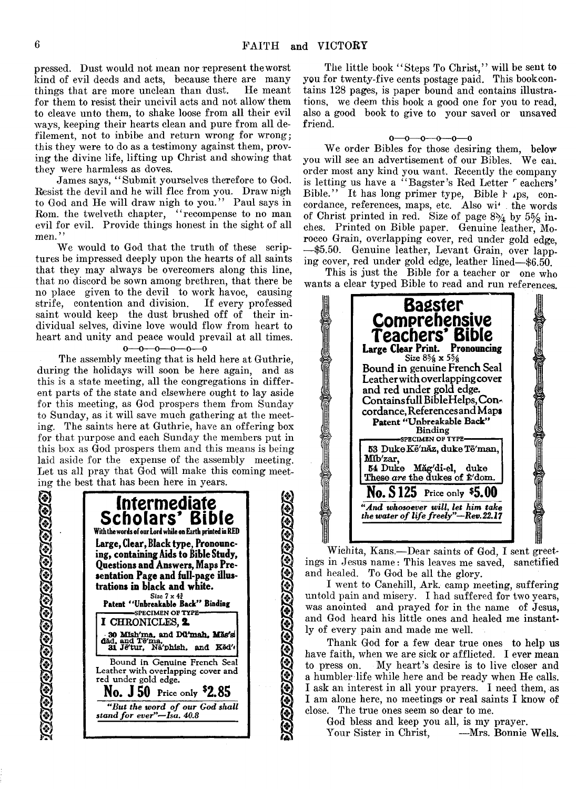j§J

 $\left( \diamond\right)$ 

[\*}

**y**

© *f&i*

pressed. Dust would not mean nor represent the worst kind of evil deeds and acts, because there are many things that are more unclean than dust. He meant things that are more unclean than dust. for them to resist their uncivil acts and not allow them to cleave unto them, to shake loose from all their evil ways, keeping their hearts clean and pure from all defilement, not to inbibe and return wrong for wrong; this they were to do as a testimony against them, proving the divine life, lifting up Christ and showing that they were harmless as doves.

James says, "Submit yourselves therefore to God. Resist the devil and he will flee from you. Draw nigh to God and He will draw nigh to you." Paul says in Rom. the twelveth chapter, ""recompense to no man evil for evil. Provide things honest in the sight of all men."

We would to God that the truth of these scriptures be impressed deeply upon the hearts of all saints that they may always be overcomers along this line, that no discord be sown among brethren, that there be no place given to the devil to work havoc, causing strife, contention and division. If every professed saint would keep the dust brushed off of their individual selves, divine love would flow from heart to heart and unity and peace would prevail at all times.

 $0 \rightarrow 0 \rightarrow 0 \rightarrow 0 \rightarrow 0$ 

The assembly meeting that is held here at Guthrie, during the holidays will soon be here again, and as this is a state meeting, all the congregations in different parts of the state and elsewhere ought to lay aside for this meeting, as God prospers them from Sunday to Sunday, as it will save much gathering at the meeting. The saints here at Guthrie, have an offering box for that purpose and each Sunday the members put in this box as God prospers them and this means is being laid aside for the expense of the assembly meeting. Let us all pray that God Will make this coming meeting the best that has been here in years.



<u>haanaraa ahaa aa a</u>

The little book "Steps To Christ," will be sent to you for twenty-five cents postage paid. This bookcontains 128 pages, is paper bound and contains illustrations, we deem this book a good one for you to read, also a good book to give to your saved or unsaved friend.

#### $0 - 0 - 0 - 0 - 0$

We order Bibles for those desiring them, below you will see an advertisement of our Bibles. We can order most any kind you want. Recently the company is letting us have a "Bagster's Red Letter  $\overline{r}$  eachers' Bible." It has long primer type, Bible h .ps, concordance, references, maps, etc. Also with the words of Christ printed in red. Size of page *8%* by 5% inches. Printed on Bible paper. Genuine leather, Morocco Grain, overlapping cover, red under gold edge, — \$5.50. Genuine leather, Levant Grain, over lapping cover, red under gold edge, leather lined— \$6.50.

This is just the Bible for a teacher or one who wants a clear typed Bible to read and run references.



Wichita, Kans.— Dear saints of God, I sent greetings in Jesus name: This leaves me saved, sanctified and healed. To God be all the glory.

I went to Canehill, Ark. camp meeting, suffering untold pain and misery. I had suffered for two years, was anointed and prayed for in the name of Jesus, and God heard his little ones and healed me instantly of every pain and made me well.

Thank God for a few dear true ones to help us have faith, when we are sick or afflicted. I ever mean to press on. My heart's desire is to live closer and a humbler life while here and be ready when He calls. I ask an interest in all your prayers. I need them, as I am alone here, no meetings or real saints I know of close. The true ones seem so dear to me.

God bless and keep you all, is my prayer. Your Sister in Christ, —Mrs. Bonnie Wells.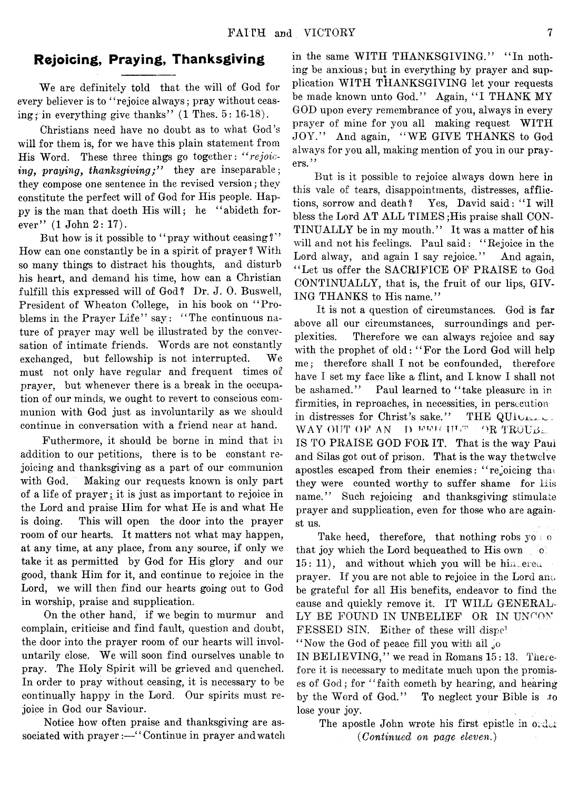# Rejoicing, Praying, Thanksgiving

We are definitely told that the will of God for every believer is to "rejoice always; pray without ceasing; in everything give thanks"  $(1$  Thes.  $5: 16-18$ .

Christians need have no doubt as to what God's will for them is, for we have this plain statement from His Word. These three things go together: *" rejoicing, praying, thanksqiving;*" they are inseparable; they compose one sentence in the revised version; they constitute the perfect will of God for His people. Happy is the man that doeth His will; he "abideth forever" (1 John 2: 17).

But how is it possible to "pray without ceasing?" How can one constantly be in a spirit of prayer ? With so many things to distract his thoughts, and disturb his heart, and demand his time, how can a Christian fulfill this expressed will of God? Dr. J. 0. Buswell, President of Wheaton College, in his book on " Problems in the Prayer Life" say: "The continuous nature of prayer may well be illustrated by the conversation of intimate friends. Words are not constantly exchanged, but fellowship is not interrupted. We must not only have regular and frequent times of prayer, but whenever there is a break in the occupation of our minds, we ought to revert to conscious communion with God just as involuntarily as we should continue in conversation with a friend near at hand.

Futhermore, it should be borne in mind that in addition to our petitions, there is to be constant rejoicing and thanksgiving as a part of our communion with God. Making our requests known is only part of a life of prayer; it is just as important to rejoice in the Lord and praise Him for what He is and what He is doing. This will open the door into the prayer room of our hearts. It matters not what may happen, at any time, at any place, from any source, if only we take it as permitted by God for His glory and our good, thank Him for it, and continue to rejoice in the Lord, we will then find our hearts going out to God in worship, praise and supplication.

On the other hand, if we begin to murmur and complain, criticise and find fault, question and doubt, the door into the prayer room of our hearts will involuntarily close. We will soon find ourselves unable to pray. The Holy Spirit will be grieved and quenched. In order to pray without ceasing, it is necessary to be continually happy in the Lord. Our spirits must rejoice in God our Saviour.

Notice how often praise and thanksgiving are associated with prayer:—'' Continue in prayer and watch

in the same WITH THANKSGIVING." "In nothing be anxious; but in everything by prayer and supplication WITH THANKSGIVING let your requests be made known unto God." Again, "I THANK MY GOD upon every remembrance of you, always in every prayer of mine for you all making request WITH JOY." And again, "WE GIVE THANKS to God always for you all, making mention of you in our prayers."

But is it possible to rejoice always down here in this vale of tears, disappointments, distresses, afflictions, sorrow and death? Yes, David said: "I will bless the Lord AT ALL TIMES ;His praise shall CON-TINUALLY be in my mouth." It was a matter of his will and not his feelings. Paul said: " Rejoice in the Lord alway, and again I say rejoice." And again, " Let us offer the SACRIFICE OF PRAISE to God CONTINUALLY, that is, the fruit of our lips, GIV-ING THANKS to His name."

It is not a question of circumstances. God is far above all our circumstances, surroundings and perplexities. Therefore we can always rejoice and say with the prophet of old: "For the Lord God will help me; therefore shall I not be confounded, therefore have I set my face like a flint, and I know I shall not be ashamed." Paul learned to "take pleasure in in firmities, in reproaches, in necessities, in persecution in distresses for Christ's sake." THE QUIU WAY OUT OF AN D *wwicure OR TROUBL* IS TO PRAISE GOD FOR IT. That is the way Paul and Silas got out of prison. That is the way thetwelve apostles escaped from their enemies: "rejoicing that they were counted worthy to suffer shame for His name." Such rejoicing and thanksgiving stimulate prayer and supplication, even for those who are against us.

Take heed, therefore, that nothing robs  $y_0$  or that joy which the Lord bequeathed to His own  $\circ$  $15: 11$ ), and without which you will be him, ereu prayer. If you are not able to rejoice in the Lord anc, be grateful for all His benefits, endeavor to find the cause and quickly remove it. IT WILL GENERAL-LY BE FOUND IN UNBELIEF OR IN UNCON-FESSED SIN. Either of these will dispe! "Now the God of peace fill you with all jo

IN BELIEVING," we read in Romans 15:13. Therefore it is necessary to meditate much upon the promises of God; for "faith cometh by hearing, and hearing by the Word of God." To neglect your Bible is to lose your joy.

The apostle John wrote his first epistle in order *(Continued on page eleven.)*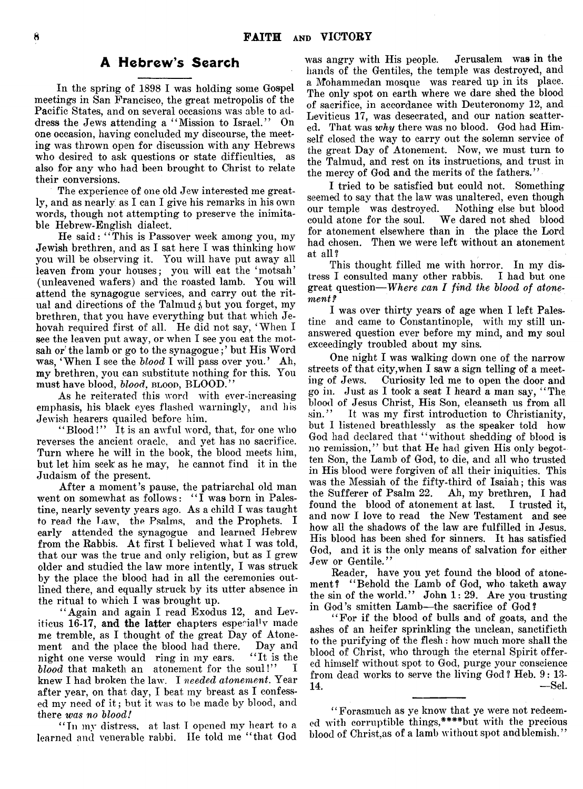#### A Hebrew's Search

In the spring of 1898 I was holding some Gospel meetings in San Francisco, the great metropolis of the Pacific States, and on several occasions was able to address the Jews attending a " Mission to Israel." On one occasion, having concluded my discourse, the meeting was thrown open for discussion with any Hebrews who desired to ask questions or state difficulties, as also for any who had been brought to Christ to relate their conversions.

The experience of one old Jew interested me greatly, and as nearly as I can I give his remarks in his own words, though not attempting to preserve the inimitable Hebrew-English dialect.

He said: "This is Passover week among you, my Jewish brethren, and as I sat here I was thinking how you will be observing it. You will have put away all leaven from your houses; you will eat the 'motsah' (unleavened wafers) and the roasted lamb. You will attend the synagogue services, and carry out the ritual and directions of the Talmud; but you forget, my brethren, that you have everything but that which Jehovah required first of all. He did not say, 'When I see the leaven put away, or when I see you eat the motsah or the lamb or go to the synagogue;' but His Word was, ' When I see the *blood* I will pass over you.' Ah, my brethren, you can substitute nothing for this. You must have blood, *blood*, blood, BLOOD."

As he reiterated this word with ever-increasing emphasis, his black eyes flashed warningly, and his Jewish hearers quailed before him.

"Blood!" It is an awful word, that, for one who reverses the ancient oracle, and yet has no sacrifice. Turn where he will in the book, the blood meets him, but let him seek as he may, he cannot find it in the Judaism of the present.

After a moment's pause, the patriarchal old man went on somewhat as follows: "I was born in Palestine, nearly seventy years ago. As a child I was taught to read the Law, the Psalms, and the Prophets. I early attended the synagogue and learned Hebrew from the Rabbis. At first I believed what I was told, that our was the true and only religion, but as I grew older and studied the law more intently, I was struck by the place the blood had in all the ceremonies outlined there, and equally struck by its utter absence in the ritual to which I was brought up.

" Again and again I read Exodus 12, and Leviticus 16-17, and the latter chapters especial!v made me tremble, as I thought of the great Day of Atone-<br>ment and the place the blood had there. Day and ment and the place the blood had there. Day and<br>night one verse would ring in my ears. "It is the night one verse would ring in my ears. "It is the blood that maketh an atonement for the soul!" *blood* that maketh an atonement for the soul!" knew I had broken the law. I *needed atonement.* Year after year, on that day, I beat my breast as I confessed my need of it ; but it was to be made by blood, and there *was no blood!*

"In my distress, at last I opened my heart to a learned and venerable rabbi. He told me " that God was angry with His people. Jerusalem was in the hands of the Gentiles, the temple was destroyed, and a Mohammedan mosque was reared up in its place. The only spot on earth where we dare shed the blood of sacrifice, in accordance with Deuteronomy 12, and Leviticus 17, was desecrated, and our nation scattered. That was *why* there was no blood. God had Himself closed the way to carry out the solemn service of the great Day of Atonement. Now, we must turn to the Talmud, and rest on its instructions, and trust in the mercy of God and the merits of the fathers."

I tried to be satisfied but could not. Something seemed to say that the law was unaltered, even though our temple was destroyed. Nothing else but blood could atone for the soul. We dared not shed blood for atonement elsewhere than in the place the Lord had chosen. Then we were left without an atonement at all?

This thought filled me with horror. In my distress I consulted many other rabbis. I had but one great question— *Where can I find the blood of atonement?*

I was over thirty years of age when I left Palestine and came to Constantinople, with my still unanswered question ever before my mind, and my soul exceedingly troubled about my sins.

One night I was walking down one of the narrow streets of that city,when I saw a sign telling of a meeting of Jews. Curiosity led me to open the door and go in. Just as I took a seat I heard a man say, " The blood of Jesus Christ, His Son, cleanseth us from all sin." It was my first introduction to Christianity, but I listened breathlessly as the speaker told how God had declared that " without shedding of blood is no remission," but that He had given His only begotten Son, the Lamb of God, to die, and all who trusted in His blood were forgiven of all their iniquities. This was the Messiah of the fifty-third of Isaiah; this was the Sufferer of Psalm 22. Ah, my brethren, I had found the blood of atonement at last. I trusted it, and now I love to read the New Testament and see how all the shadows of the law are fulfilled in Jesus. His blood has been shed for sinners. It has satisfied God, and it is the only means of salvation for either Jew or Gentile."

Reader, have you yet found the blood of atonement? "Behold the Lamb of God, who taketh away the sin of the world." John 1: 29. Are you trusting in God's smitten Lamb—the sacrifice of God?

" For if the blood of bulls and of goats, and the ashes of an heifer sprinkling the unclean, sanctifieth to the purifying of the flesh : how much more shall the blood of Christ, who through the eternal Spirit offered himself without spot to God, purge your conscience from dead works to serve the living God ? Heb. 9: 13-  $14.$  —Sel

' ' Forasmuch as ye know that ye were not redeemed with corruptible things,\*\*\*\*but with the precious blood of Christ, as of a lamb without spot and blemish."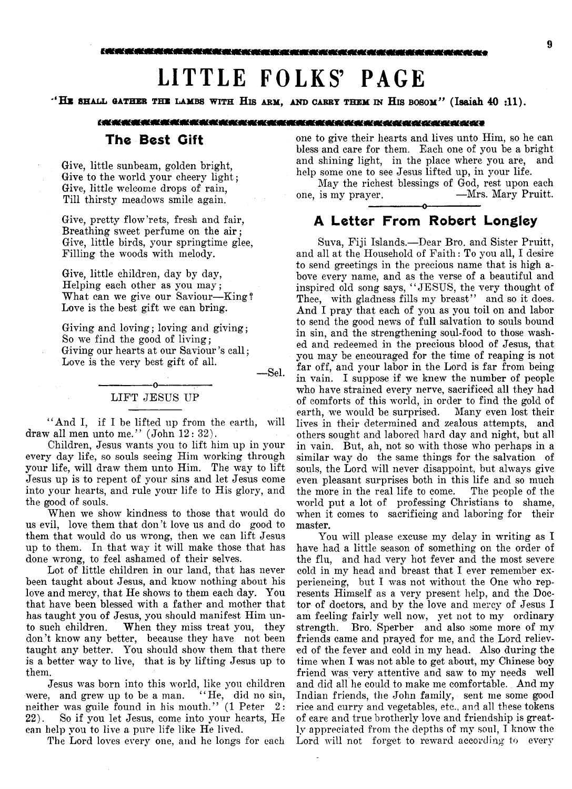# **LITTLE FOLKS' PAGE**

"HE SHALL GATHER THE LAMBS WITH HIS ARM, AND CARRY THEM IN HIS BOSOM" (Isaiah  $40$  :11).

#### 6.获获获获获获取获获获获获获获获获获获获获获获获获获获获获获获获获获奖奖奖

#### The Best Gift

Give, little sunbeam, golden bright, Give to the world your cheery light; Give, little welcome drops of rain, Till thirsty meadows smile again.

Give, pretty flow 'rets, fresh and fair, Breathing sweet perfume on the air; Give, little birds, your springtime glee, Filling the woods with melody.

Give, little children, day by day, Helping each other as you may; What can we give our Saviour—King? Love is the best gift we can bring.

Giving and loving; loving and giving; So we find the good of living; Giving our hearts at our Saviour's call; Love is the very best gift of all.

— Sel.

# --------------- -o------------— LIFT JESUS UP

"And I, if I be lifted up from the earth, will draw all men unto me." (John 12: 32).

Children, Jesus wants you to lift him up in your every day life, so souls seeing Him working through your life, will draw them unto Him. The way to lift Jesus up is to repent of your sins and let Jesus come into your hearts, and rule your life to His glory, and the good of souls.

When we show kindness to those that would do us evil, love them that don't love us and do good to them that would do us wrong, then we can lift Jesus up to them. In that way it will make those that has done wrong, to feel ashamed of their selves.

Lot of little children in our land, that has never been taught about Jesus, and know nothing about his love and mercy, that He shows to them each day. You that have been blessed with a father and mother that has taught you of Jesus, you should manifest Him unto such children. When they miss treat you, they don't know any better, because they have not been taught any better. You should show them that there is a better way to live, that is by lifting Jesus up to them.

Jesus was born into this world, like you children were, and grew up to be a man. "He, did no sin, neither was guile found in his mouth." (1 Peter 2: 22). So if you let Jesus, come into your hearts, He can help you to live a pure life like He lived.

The Lord loves every one, and he longs for each

one to give their hearts and lives unto Him, so he can bless and care for them. Each one of you be a bright and shining light, in the place where you are, and help some one to see Jesus lifted up, in your life.

May the richest blessings of God, rest upon each one, is my prayer. —Mrs. Mary Pruitt. -----------------o-----------------

# A Letter From Robert Longley

Suva, Fiji Islands.— Dear Bro. and Sister Pruitt, and all at the Household of Faith: To you all, I desire to send greetings in the precious name that is high above every name, and as the verse of a beautiful and inspired old song says, " JESUS, the very thought of Thee, with gladness fills my breast" and so it does. And I pray that each of you as you toil on and labor to send the good news of full salvation to souls bound in sin, and the strengthening soul-food to those washed and redeemed in the precious blood of Jesus, that you may be encouraged for the time of reaping is not far off, and your labor in the Lord is far from being in vain. I suppose if we knew the number of people who have strained every nerve, sacrificed all they had of comforts of this world, in order to find the gold of earth, we would be surprised. Many even lost their lives in their determined and zealous attempts, and others sought and labored hard day and night, but all in vain. But, ah, not so with those who perhaps in a similar way do the same things for the salvation of souls, the Lord will never disappoint, but always give even pleasant surprises both in this life and so much the more in the real life to come. The people of the world put a lot of professing Christians to shame, when it comes to sacrificing and laboring for their master.

You will please excuse my delay in writing as I have had a little season of something on the order of the flu, and had very hot fever and the most severe cold in my head and breast that I ever remember experiencing, but I was not without the One who represents Himself as a very present help, and the Doctor of doctors, and by the love and mercy of Jesus I am feeling fairly well now, yet not to my ordinary strength. Bro. Sperber and also some more of my friends came and prayed for me, and the Lord relieved of the fever and cold in my head. Also during the time when I was not able to get about, my Chinese boy friend was very attentive and saw to my needs well and did all he could to make me comfortable. And my Indian friends, the John family, sent me some good rice and curry and vegetables, etc., and all these tokens of care and true brotherly love and friendship is greatly appreciated from the depths of my soul, I know the Lord will not forget to reward according to every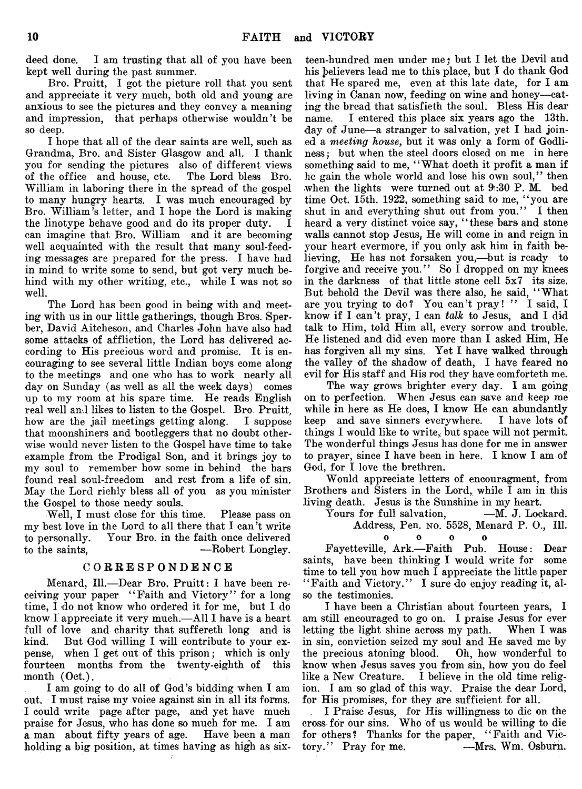deed done. I am trusting that all of you have been kept well during the past summer.

Bro. Pruitt, I got the picture roll that you sent and appreciate it very much, both old and young are anxious to see the pictures and they convey a meaning and impression, that perhaps otherwise wouldn't be so deep.

I hope that all of the dear saints are well, such as Grandma, Bro. and Sister Glasgow and all. I thank you for sending the pictures also of different views<br>of the office and house, etc. The Lord bless Bro. of the office and house, etc. William in laboring there in the spread of the gospel to many hungry hearts. I was much encouraged by Bro. William's letter, and I hope the Lord is making the linotype behave good and do its proper duty. I can imagine that Bro. William and it are becoming well acquainted with the result that many soul-feeding messages are prepared for the press. I have had in mind to write some to send, but got very much behind with my other writing, etc., while I was not so well.

The Lord has been good in being with and meeting with us in our little gatherings, though Bros. Sperber, David Aitcheson, and Charles John have also had some attacks of affliction, the Lord has delivered according to His precious word and promise. It is encouraging to see several little Indian boys come along to the meetings and one who has to work nearly all day on Sunday (as well as all the week days) comes up to my room at his spare time. He reads English real well and likes to listen to the Gospel. Bro. Pruitt, how are the jail meetings getting along. I suppose that moonshiners and bootleggers that no doubt otherwise would never listen to the Gospel have time to take example from the Prodigal Son, and it brings joy to my soul to remember how some in behind the bars found real soul-freedom and rest from a life of sin. May the Lord richly bless all of you as you minister the Gospel to those needy souls.

Well, I must close for this time. Please pass on my best love in the Lord to all there that I can't write to personally. Your Bro. in the faith once delivered to the saints, — Robert Longley.

#### C O R R E SP O N D E N C E

Menard, 111.— Dear Bro. Pruitt: I have been receiving your paper " Faith and Victory" for a long time, I do not know who ordered it for me, but I do know I appreciate it very much.— All I have is a heart full of love and charity that suffereth long and is kind. But God willing I will contribute to your expense, when I get out of this prison; which is only fourteen months from the twenty-eighth of this month (Oct.).

I am going to do all of God's bidding when I am out. I must raise my voice against sin in all its forms. I could write page after page, and yet have much praise for Jesus, who has done so much for me. I am a man about fifty years of age. Have been a man holding a big position, at times having as high as six-

teen-hundred men under me; but I let the Devil and his believers lead me to this place, but I do thank God that He spared me, even at this late date, for I am living in Canan now, feeding on wine and honey— eating the bread that satisfieth the soul. Bless His dear name. I entered this place six years ago the 13th. day of June— a stranger to salvation, yet I had joined a *meeting house*, but it was only a form of Godliness ; but when the steel doors closed on me in here something said to me, "What doeth it profit a man if he gain the whole world and lose his own soul," then when the lights were turned out at 9:30 P.M. bed time Oct. 15th. 1922, something said to me, " you are shut in and everything shut out from you." I then heard a very distinct voice say, "these bars and stone walls cannot stop Jesus, He will come in and reign in your heart evermore, if you only ask him in faith believing, He has not forsaken you,—but is ready to forgive and receive you." So I dropped on my knees in the darkness of that little stone cell 5x7 its size. But behold the Devil was there also, he said, " What are you trying to do? You can't pray! " I said, I know if I can't pray, I can *talk* to Jesus, and I did talk to Him, told Him all, every sorrow and trouble. He listened and did even more than I asked Him, He has forgiven all my sins. Yet I have walked through the valley of the shadow of death, I have feared no evil for His staff and His rod they have comforteth me.

The way grows brighter every day. I am going on to perfection. When Jesus can save and keep me while in here as He does, I know He can abundantly keep and save sinners everywhere. I have lots of things I would like to write, but space will not permit. The wonderful things Jesus has done for me in answer to prayer, since I have been in here. I know I am of God, for I love the brethren.

Would appreciate letters of encouragment, from Brothers and Sisters in the Lord, while I am in this living death. Jesus is the Sunshine in my heart.

Yours for full salvation,  $-M$ . J. Lockard. Address, Pen. no. 5528, Menard P. 0., 111.

0 0 0 0

Fayetteville, Ark.— Faith Pub. House: Dear saints, have been thinking I would write for some time to tell you how much I appreciate the little paper " Faith and Victory." I sure do enjoy reading it, also the testimonies.

I have been a Christian about fourteen years, I am still encouraged to go on. I praise Jesus for ever letting the light shine across my path. When I was in sin, conviction seized my soul and He saved me by the precious atoning blood. Oh, how wonderful to know when Jesus saves you from sin, how you do feel like a New Creature. I believe in the old time religion. I am so glad of this way. Praise the dear Lord, for His promises, for they are sufficient for all.

. I Praise Jesus, for His willingness to die on the cross for our sins. Who of us would be willing to die for others? Thanks for the paper, "Faith and Victory." Pray for me. — Mrs. Wm. Osburn.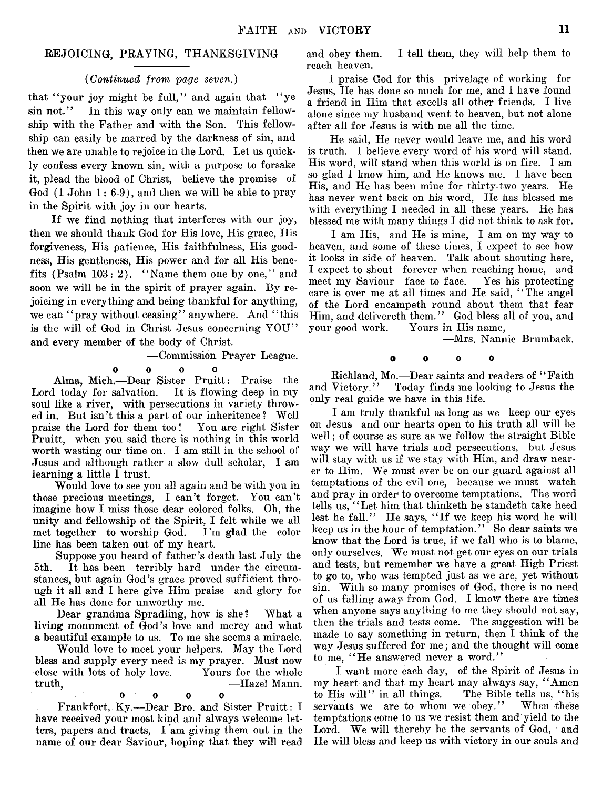#### REJOICING, PRAYING, THANKSGIVING

#### *(Continued from page seven.)*

that "your joy might be full," and again that "ye" sin not." In this way only can we maintain fellowship with the Father and with the Son. This fellowship can easily be marred by the darkness of sin, and then we are unable to rejoice in the Lord. Let us quickly confess every known sin, with a purpose to forsake it, plead the blood of Christ, believe the promise of God (1 John 1: 6-9), and then we will be able to pray in the Spirit with joy in our hearts.

If we find nothing that interferes with our joy, then we should thank God for His love, His grace, His forgiveness, His patience, His faithfulness, His goodness, His gentleness, His power and for all His benefits (Psalm 103: 2). " Name them one by one," and soon we will be in the spirit of prayer again. By rejoicing in everything and being thankful for anything, we can "pray without ceasing" anywhere. And "this is the will of God in Christ Jesus concerning YOU" and every member of the body of Christ.

— Commission Prayer League.

0 0 0 0

Alma, Mich.— Dear Sister Pruitt: Praise the Lord today for salvation. It is flowing deep in my soul like a river, with persecutions in variety throwed in. But isn't this a part of our inheritence? Well<br>praise the Lord for them too! You are right Sister praise the Lord for them too! Pruitt, when you said there is nothing in this world worth wasting our time on. I am still in the school of Jesus and although rather a slow dull scholar, I am learning a little I trust.

Would love to see you all again and be with you in those precious meetings, I can't forget. You can't imagine how I miss those dear colored folks. Oh, the unity and fellowship of the Spirit, I felt while we all met together to worship God. I'm glad the color line has been taken out of my heart.

Suppose you heard of father's death last July the 5th. It has been terribly hard under the circumstances, but again God's grace proved sufficient through it all and I here give Him praise and glory for all He has done for unworthy me.

Dear grandma Spradling, how is she? What a living monument of God's love and mercy and what a beautiful example to us. To me she seems a miracle.

Would love to meet your helpers. May the Lord bless and supply every need is my prayer. Must now close with lots of holy love. Yours for the whole truth, — Hazel Mann.

0 0 0 0

Frankfort, Ky.— Dear Bro. and Sister Pruitt: I have received your most kind and always welcome letters, papers and tracts, I am giving them out in the name of our dear Saviour, hoping that they will read

and obey them. I tell them, they will help them to reach heaven.

I praise God for this privelage of working for Jesus, He has done so much for me, and I have found a friend in Him that excells all other friends. I live alone since my husband went to heaven, but not alone after all for Jesus is with me all the time.

He said, He never would leave me, and his word is truth. I believe every word of his word will stand. His word, will stand when this world is on fire. I am so glad I know him, and He knows me. I have been His, and He has been mine for thirty-two years. He has never went back on his word, He has blessed me with everything I needed in all these years. He has blessed me with many things I did not think to ask for.

I am His, and He is mine, I am on my way to heaven, and some of these times, I expect to see how it looks in side of heaven. Talk about shouting here, I expect to shout forever when reaching home, and meet my Saviour face to face. Yes his protecting meet my Saviour face to face. care is over me at all times and He said, " The angel of the Lord encampeth round about them that fear Him, and delivereth them." God bless all of you, and your good work. Yours in His name, Yours in His name,

—Mrs. Nannie Brumback.

0 0 0 0

Richland, Mo.—Dear saints and readers of "Faith<br>and Victory." Today finds me looking to Jesus the Today finds me looking to Jesus the only real guide we have in this life.

I am truly thankful as long as we keep our eyes on Jesus and our hearts open to his truth all will be well; of course as sure as we follow the straight Bible way we will have trials and persecutions, but Jesus will stay with us if we stay with Him, and draw nearer to Him. We must ever be on our guard against all temptations of the evil one, because we must watch and pray in order to overcome temptations. The word tells us, "Let him that thinketh he standeth take heed lest he fall.'' He says, " If we keep his word he will keep us in the hour of temptation.' ' So dear saints we know that the Lord is true, if we fall who is to blame, only ourselves. We must not get our eyes on our trials and tests, but remember we have a great High Priest to go to, who was tempted just as we are, yet without sin. With so many promises of God, there is no need of us falling away from God. I know there are times when anyone says anything to me they should not say, then the trials and tests come. The suggestion will be made to say something in return, then I think of the way Jesus suffered for me; and the thought will come to me, "He answered never a word."

I want more each day, of the Spirit of Jesus in my heart and that my heart may always say, " Amen to His will" in all things. The Bible tells us, " his servants we are to whom we obey." When these temptations come to us we resist them and yield to the Lord. We will thereby be the servants of God, and He will bless and keep us with victory in our souls and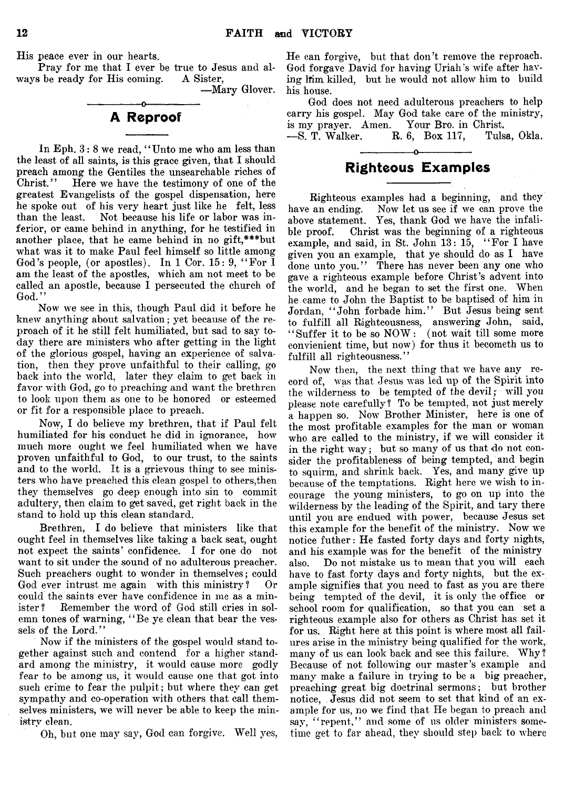His peace ever in our hearts.

Pray for me that I ever be true to Jesus and al-<br>s be ready for His coming. A Sister. ways be ready for His coming.

— Mary Glover.

## *o-*A Reproof

In Eph. 3: 8 we read, "Unto me who am less than the least of all saints, is this grace given, that I should preach among the Gentiles the unsearchable riches of Here we have the testimony of one of the greatest Evangelists of the gospel dispensation, here he spoke out of his very heart just like he felt, less Not because his life or labor was inferior, or came behind in anything, for he testified in another place, that he came behind in no gift,\*\*\*but what was it to make Paul feel himself so little among God's people, (or apostles). In 1 Cor. 15: 9, "For  $\overline{1}$ am the least of the apostles, which am not meet to be called an apostle, because I persecuted the church of God.'

Now we see in this, though Paul did it before he knew anything about salvation; yet because of the reproach of it he still felt humiliated, but sad to say today there are ministers who after getting in the light of the glorious gospel, having an experience of salvation, then they prove unfaithful to their calling, go back into the world, later they claim to get back in favor with God, go to preaching and want the brethren to look upon them as one to be honored or esteemed or fit for a responsible place to preach.

Now, I do believe my brethren, that if Paul felt humiliated for his conduct he did in ignorance, how much more ought we feel humiliated when we have proven unfaithful to God, to our trust, to the saints and to the world. It is a grievous thing to see ministers who have preached this clean gospel to others,then they themselves go deep enough into sin to commit adultery, then claim to get saved, get right back in the stand to hold up this clean standard.

Brethren, I do believe that ministers like that ought feel in themselves like taking a back seat, ought not expect the saints' confidence. I for one do not want to sit under the sound of no adulterous preacher. Such preachers ought to wonder in themselves; could God ever intrust me again with this ministry ? Or could the saints ever have confidence in me as a minister? Remember the word of God still cries in solemn tones of warning, " Be ye clean that bear the vessels of the Lord."

Now if the ministers of the gospel would stand together against such and contend for a higher standard among the ministry, it would cause more godly fear to be among us, it would cause one that got into such crime to fear the pulpit; but where they can get sympathy and co-operation with others that call themselves ministers, we will never be able to keep the ministry clean.

Oh, but one may say, God can forgive. Well yes,

He can forgive, but that don't remove the reproach. God forgave David for having Uriah's wife after having lim killed, but he would not allow him to build his house.

God does not need adulterous preachers to help carry his gospel. May God take care of the ministry, is my prayer. Amen. Your Bro. in Christ.<br>-S. T. Walker. R. 6, Box 117, Tulsa, Okla. — S. T. Walker.

# ---------------- o---------------- Righteous Examples

Righteous examples had a beginning, and they have an ending. Now let us see if we can prove the above statement. Yes, thank God we have the infalible proof. Christ was the beginning of a righteous example, and said, in St. John 13: 15, " For I have given you an example, that ye should do as I have done unto you." There has never been any one who gave a righteous example before Christ's advent into the world, and he began to set the first one. When he came to John the Baptist to be baptised of him in Jordan, " John forbade him." But Jesus being sent to fulfill all Righteousness, answering John, said, "Suffer it to be so NOW: (not wait till some more convienient time, but now) for thus it becometh us to fulfill all righteousness."

Now then, the next thing that we have any record of, was that Jesus was led up of the Spirit into the wilderness to be tempted of the devil; will you please note carefully ? To be tempted, not just merely a happen so. Now Brother Minister, here is one of the most profitable examples for the man or woman who are called to the ministry, if we will consider it in the right way; but so many of us that do not consider the profitableness of being tempted, and begin to squirm, and shrink back. Yes, and many give up because of the temptations. Right here we wish to incourage the young ministers, to go on up into the wilderness by the leading of the Spirit, and tary there until you are endued with power, because Jesus set this example for the benefit of the ministry. Now we notice futher: He fasted forty days and forty nights, and his example was for the benefit of the ministry also. Do not mistake us to mean that you will each have to fast forty days and forty nights, but the example signifies that you need to fast as you are there being tempted of the devil, it is only the office or school room for qualification, so that you can set a righteous example also for others as Christ has set it for us. Right here at this point is where most all failures arise in the ministry being qualified for the work, many of us can look back and see this failure. Why ? Because of not following our master's example and many make a failure in trying to be a big preacher, preaching great big doctrinal sermons; but brother notice, Jesus did not seem to set that kind of an example for us, no we find that He began to preach and say, "repent," and some of us older ministers sometime get to far ahead, they should step back to where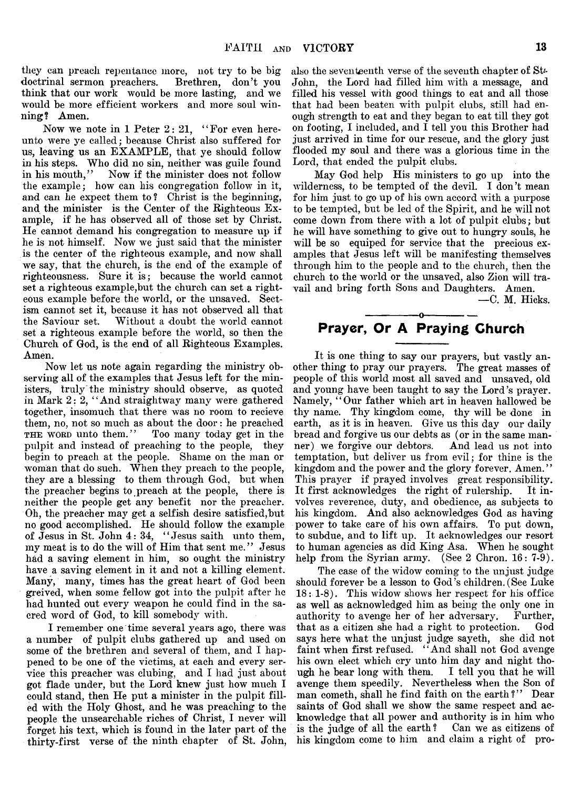they can preach repentance more, not try to be big<br>doctrinal sermon preachers. Brethren, don't you doctrinal sermon preachers. think that our work would be more lasting, and we would be more efficient workers and more soul winning? Amen.

Now we note in 1 Peter 2: 21, "For even hereunto were ye called; because Christ also suffered for us, leaving us an EXAMPLE, that ye should follow in his steps. Who did no sin, neither was guile found<br>in his mouth," Now if the minister does not follow Now if the minister does not follow the example; how can his congregation follow in it, and can he expect them to ? Christ is the beginning, and the minister is the Center of the Righteous Example, if he has observed all of those set by Christ. He cannot demand his congregation to measure up if he is not himself. Now we just said that the minister is the center of the righteous example, and now shall we say, that the church, is the end of the example of righteousness. Sure it is; because the world cannot set a righteous example,but the church can set a righteous example before the world, or the unsaved. Sectism cannot set it, because it has not observed all that Without a doubt the world cannot set a righteous example before the world, so then the Church of God, is the end of all Righteous Examples. Amen.

Now let us note again regarding the ministry observing all of the examples that Jesus left for the ministers, truly the ministry should observe, as quoted in Mark 2: 2, "And straightway many were gathered together, insomuch that there was no room to recieve them, no, not so much as about the door: he preached<br>THE WORD unto them.'' Too many today get in the Too many today get in the pulpit and instead of preaching to the people, they begin to preach at the people. Shame on the man or woman that do such. When they preach to the people, they are a blessing to them through God, but when the preacher begins to preach at the people, there is neither the people get any benefit nor the preacher. Oh, the preacher may get a selfish desire satisfied, but no good accomplished. He should follow the example of Jesus in St. John 4: 34, " Jesus saith unto them, my meat is to do the will of Him that sent me. ' ' Jesus had a saving element in him, so ought the ministry have a saving element in it and not a killing element. Many, many, times has the great heart of God been greived, when some fellow got into the pulpit after he had hunted out every weapon he could find in the sacred word of God, to kill somebody with.

I remember one time several years ago, there was a number of pulpit clubs gathered up and used on some of the brethren and several of them, and I happened to be one of the victims, at each and every service this preacher was clubing, and I had just about got flade under, but the Lord knew just how much I could stand, then He put a minister in the pulpit filled with the Holy Ghost, and he was preaching to the people the unsearchable riches of Christ, I never will forget his text, which is found in the later part of the thirty-first verse of the ninth chapter of St. John,

also the seventeenth verse of the seventh chapter of Ste John, the Lord had filled him with a message, and filled his vessel with good things to eat and all those that had been beaten with pulpit clubs, still had enough strength to eat and they began to eat till they got on footing, I included, and I tell you this Brother had just arrived in time for our rescue, and the glory just flooded my soul and there was a glorious time in the Lord, that ended the pulpit clubs.

May God help His ministers to go up into the wilderness, to be tempted of the devil. I don't mean for him just to go up of his own accord with a purpose to be tempted, but be led of the Spirit, and he will not come down from there with a lot of pulpit clubs; but he will have something to give out to hungry souls, he will be so equiped for service that the precious examples that Jesus left will be manifesting themselves through him to the people and to the church, then the church to the world or the unsaved, also Zion will travail and bring forth Sons and Daughters. Amen.

— C. M. Hicks.

# ---------------- o----------------- Prayer, Or A Praying Church

It is one thing to say our prayers, but vastly another thing to pray our prayers. The great masses of people of this world most all saved and unsaved, old and young have been taught to say the Lord's prayer. Namely, "Our father which art in heaven hallowed be thy name. Thy kingdom come, thy will be done in earth, as it is in heaven. Give us this day our daily bread and forgive us our debts as (or in the same manner) we forgive our debtors. And lead us not into temptation, but deliver us from evil; for thine is the kingdom and the power and the glory forever. Amen." This prayer if prayed involves great responsibility. It first acknowledges the right of rulership. It involves reverence, duty, and obedience, as subjects to his kingdom. And also acknowledges God as having power to take care of his own affairs. To put down, to subdue, and to lift up. It acknowledges our resort to human agencies as did King Asa. When he sought help from the Syrian army. (See 2 Chron. 16: 7-9).

The case of the widow coming to the unjust judge should forever be a lesson to God's children.(See Luke 18: 1-8). This widow shows her respect for his office as well as acknowledged him as being the only one in authority to avenge her of her adversary. Further, that as a citizen she had a right to protection. God says here what the unjust judge sayeth, she did not faint when first refused. "And shall not God avenge his own elect which cry unto him day and night though he bear long with them. I tell you that he will avenge them speedily. Nevertheless when the Son of man cometh, shall he find faith on the earth?" Dear saints of God shall we show the same respect and acknowledge that all power and authority is in him who is the judge of all the earth? Can we as citizens of his kingdom come to him and claim a right of pro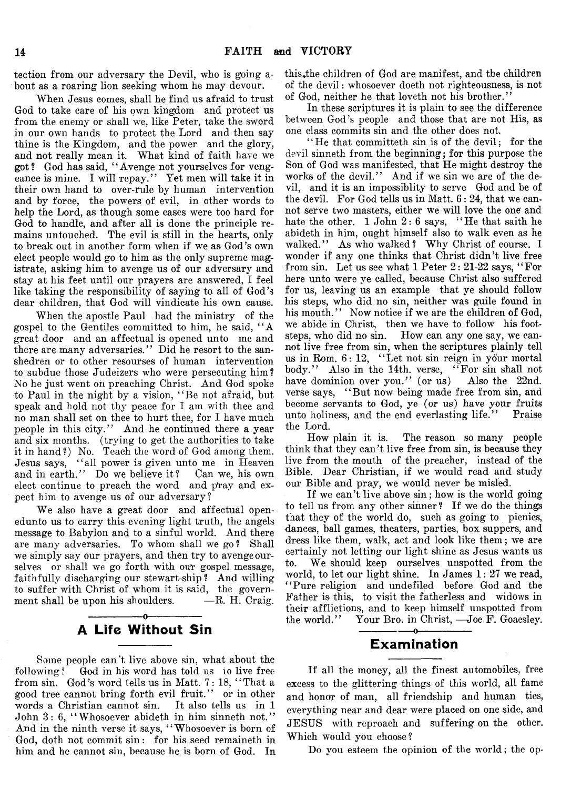tection from our adversary the Devil, who is going about as a roaring lion seeking whom he may devour.

When Jesus comes, shall he find us afraid to trust God to take care of his own kingdom and protect us from the enemy or shall we, like Peter, take the sword in our own hands to protect the Lord and then say thine is the Kingdom, and the power and the glory, and not really mean it. What kind of faith have we got? God has said, 44Avenge not yourselves for vengeance is mine. I will repay." Yet men will take it in their own hand to over-rule by human intervention and by force, the powers of evil, in other words to help the Lord, as though some cases were too hard for God to handle, and after all is done the principle remains untouched. The evil is still in the hearts, only to break out in another form when if we as God's own elect people would go to him as the only supreme magistrate, asking him to avenge us of our adversary and stay at his feet until our prayers are answered, I feel like taking the responsibility of saying to all of God's dear children, that God will vindicate his own cause.

When the apostle Paul had the ministry of the gospel to the Gentiles committed to him, he said, " A great door and an affectual is opened unto me and there are many adversaries." Did he resort to the sanshedren or to other resourses of human intervention to subdue those Judeizers who were persecuting him? No he just went on preaching Christ. And God spoke to Paul in the night by a vision, "Be not afraid, but speak and hold not thy peace for I am with thee and no man shall set on thee to hurt thee, for I have much people in this city." And he continued there a year and six months, (trying to get the authorities to take it in hand ?) No. Teach the word of God among them. Jesus says, "all power is given unto me in Heaven and in earth." Do we believe it? Can we, his own elect continue to preach the word and pray and expect him to avenge us of our adversary ?

We also have a great door and affectual openedunto us to carry this evening light truth, the angels message to Babylon and to a sinful world. And there are many adversaries. To whom shall we go? Shall we simply say our prayers, and then try to avenge ourselves or shall we go forth with our gospel message, faithfully discharging our stewart-ship ? And willing to suffer with Christ of whom it is said, the government shall be upon his shoulders.  $- R$ . H. Craig.

# $-0$ -A Life Without Sin

Some people can't live above sin, what about the following? God in his word has told us to live free from sin. God's word tells us in Matt. 7: 18, " That a good tree cannot bring forth evil fruit." or in other words a Christian cannot sin. It also tells us in 1 John 3: 6, " Whosoever abideth in him sinneth not." And in the ninth verse it says, "Whosoever is born of God, doth not commit sin: for his seed remaineth in him and he cannot sin, because he is born of God. In

this, the children of God are manifest, and the children of the devil: whosoever doeth not righteousness, is not of God, neither he that loveth not his brother."

In these scriptures it is plain to see the difference between God's people and those that are not His, as one class commits sin and the other does not.

 $H$  + He that committeth sin is of the devil; for the devil sinneth from the beginning; for this purpose the Son of God was manifested, that He might destroy the works of the devil." And if we sin we are of the devil, and it is an impossiblity to serve God and be of the devil. For God tells us in Matt. 6: 24, that we cannot serve two masters, either we will love the one' and hate the other.  $1$  John  $2: 6$  says, "He that saith he abideth in him, ought himself also to walk even as he walked." As who walked? Why Christ of course. I wonder if any one thinks that Christ didn't live free from sin. Let us see what  $1$  Peter  $2: 21-22$  says, "For here unto were ye called, because Christ also suffered for us, leaving us an example that ye should follow his steps, who did no sin, neither was guile found in his mouth." Now notice if we are the children of God, we abide in Christ, then we have to follow his footsteps, who did no sin. How can any one say, we cannot live free from sin, when the scriptures plainly tell us in Rom. 6: 12, "Let not sin reign in your mortal body." Also in the 14th. verse, "For sin shall not have dominion over you." (or us) Also the 22nd. verse says, "But now being made free from sin, and become servants to God, ye (or us) have your fruits unto holiness, and the end everlasting life." Praise the Lord.

How plain it is. The reason so many people think that they can't live free from sin, is because they live from the mouth of the preacher, instead of the Bible. Dear Christian, if we would read and study our Bible and pray, we would never be misled.

If we can't live above sin; how is the world going to tell us from any other sinner ? If we do the things that they of the world do, such as going to picnics, dances, ball games, theaters, parties, box suppers, and dress like them, walk, act and look like them; we are certainly not letting our light shine as Jesus wants us to. We should keep ourselves unspotted from the world, to let our light shine. In James 1: 27 we read, "Pure religion and undefiled before God and the Father is this, to visit the fatherless and widows in their afflictions, and to keep himself unspotted from the world." Your Bro. in Christ, —Joe F. Goaesley.

# -----------------o---------------- Examination

If all the money, all the finest automobiles, free excess to the glittering things of this world, all fame and honor of man, all friendship and human ties, everything near and dear were placed on one side, and JESUS with reproach and suffering on the other. Which would you choose?

Do you esteem the opinion of the world; the op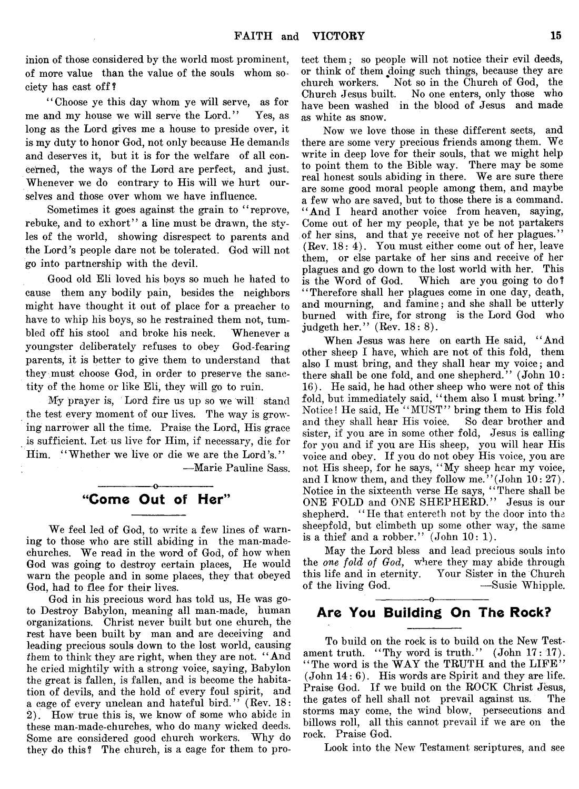inion of those considered by the world most prominent, of more value than the value of the souls whom society has cast off?

" Choose ye this day whom ye will serve, as for me and my house we will serve the Lord." Yes, as long as the Lord gives me a house to preside over, it is my duty to honor God, not only because He demands and deserves it, but it is for the welfare of all concerned, the ways of the Lord are perfect, and just. Whenever we do contrary to His will we hurt ourselves and those over whom we have influence.

Sometimes it goes against the grain to "reprove, rebuke, and to exhort" a line must be drawn, the styles of the world, showing disrespect to parents and the Lord's people dare not be tolerated. God will not go into partnership with the devil.

Good old Eli loved his boys so much he hated to cause them any bodily pain, besides the neighbors might have thought it out of place for a preacher to have to whip his boys, so he restrained them not, tumbled off his stool and broke his neck. Whenever a youngster deliberately refuses to obey God-fearing parents, it is better to give them to understand that they must choose God, in order to preserve the sanctity of the home or like Eli, they will go to ruin.

My prayer is, Lord fire us up so we will stand the test every moment of our lives. The way is growing narrower all the time. Praise the Lord, His grace is sufficient. Let us live for Him, if necessary, die for Him. "Whether we live or die we are the Lord's."

— Marie Pauline Sass.

## -----------------o----------------- "Come Out of Her"

We feel led of God, to write a few lines of warning to those who are still abiding in the man-madechurches. We read in the word of God, of how when God was going to destroy certain places, He would warn the people and in some places, they that obeyed God, had to flee for their lives.

God in his precious word has told us, He was goto Destroy Babylon, meaning all man-made, human organizations. Christ never built but one church, the rest have been built by man and are deceiving and leading precious souls down to the lost world, causing them to think they are right, when they are not. "And he cried mightily with a strong voice, saying, Babylon the great is fallen, is fallen, and is become the habitation of devils, and the hold of every foul spirit, and a cage of every unclean and hateful bird." (Rev. 18: 2). How true this is, we know of some who abide in these man-made-churches, who do many wicked deeds. Some are considered good church workers. Why do they do this ? The church, is a cage for them to protect them; so people will not notice their evil deeds, or think of them doing such things, because they are church workers. Not so in the Church of God, the Church Jesus built. No one enters, only those who have been washed in the blood of Jesus and made as white as snow.

Now we love those in these different sects, and there are some very precious friends among them. We write in deep love for their souls, that we might help to point them to the Bible way. There may be some real honest souls abiding in there. We are sure there are some good moral people among them, and maybe a few who are saved, but to those there is a command. "And I heard another voice from heaven, saying, Come out of her my people, that ye be not partakers of her sins, and that ye receive not of her plagues." (Rev. 18: 4). You must either come out of her, leave them, or else partake of her sins and receive of her plagues and go down to the lost world with her. This is the Word of God. Which are you going to do? " Therefore shall her plagues come in one day, death, and mourning, and famine; and she shall be utterly burned with fire, for strong is the Lord God who judgeth her." (Rev. 18: 8).

When Jesus was here on earth He said, " And other sheep I have, which are not of this fold, them also I must bring, and they shall hear my voice; and there shall be one fold, and one shepherd." (John 10: 16). He said, he had other sheep who were not of this fold, but immediately said, "them also I must bring." Notice! He said, He ""MUST" bring them to His fold and they shall hear His voice. So dear brother and sister, if you are in some other fold, Jesus is calling for you and if you are His sheep, you will hear His voice and obey. If you do not obey His voice, you are not His sheep, for he says, " My sheep hear my voice, and I know them, and they follow me.' ' (John 10: 27). Notice in the sixteenth verse He says, " There shall be ONE FOLD and ONE SHEPHERD." Jesus is our shepherd. "He that entereth not by the door into the sheepfold, but climbeth up some other way, the same is a thief and a robber." (John 10: 1).

May the Lord bless and lead precious souls into the *one fold of God*, where they may abide through this life and in eternity. Your Sister in the Church<br>of the living God. — Susie Whipple. of the living God.

# ---------------- o---------------- Are You Building On The Rock?

To build on the rock is to build on the New Testament truth. "Thy word is truth."  $(John 17: 17)$ . "The word is the WAY the TRUTH and the LIFE" (John 14: 6). His words are Spirit and they are life. Praise God. If we build on the ROCK Christ Jesus, the gates of hell shall not prevail against us. The storms may come, the wind blow, persecutions and billows roll, all this cannot prevail if we are on the rock. Praise God.

Look into the New Testament scriptures, and see